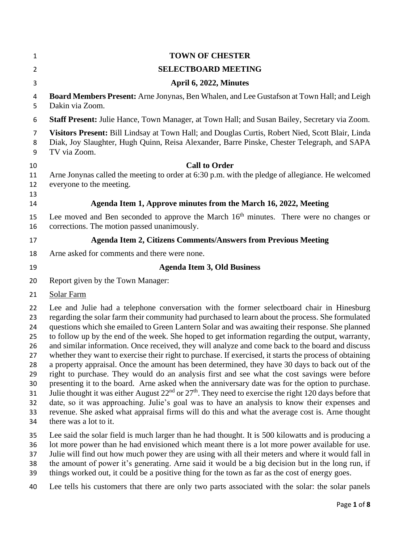| $\mathbf{1}$                                                               | <b>TOWN OF CHESTER</b>                                                                                                                                                                                                                                                                                                                                                                                                                                                                                                                                                                                                                                                                                                                                                                                                                                                                                                                                                                                                                                                                                                                                                                                                                                                  |
|----------------------------------------------------------------------------|-------------------------------------------------------------------------------------------------------------------------------------------------------------------------------------------------------------------------------------------------------------------------------------------------------------------------------------------------------------------------------------------------------------------------------------------------------------------------------------------------------------------------------------------------------------------------------------------------------------------------------------------------------------------------------------------------------------------------------------------------------------------------------------------------------------------------------------------------------------------------------------------------------------------------------------------------------------------------------------------------------------------------------------------------------------------------------------------------------------------------------------------------------------------------------------------------------------------------------------------------------------------------|
| $\overline{2}$                                                             | <b>SELECTBOARD MEETING</b>                                                                                                                                                                                                                                                                                                                                                                                                                                                                                                                                                                                                                                                                                                                                                                                                                                                                                                                                                                                                                                                                                                                                                                                                                                              |
| 3                                                                          | April 6, 2022, Minutes                                                                                                                                                                                                                                                                                                                                                                                                                                                                                                                                                                                                                                                                                                                                                                                                                                                                                                                                                                                                                                                                                                                                                                                                                                                  |
| 4<br>5                                                                     | <b>Board Members Present:</b> Arne Jonynas, Ben Whalen, and Lee Gustafson at Town Hall; and Leigh<br>Dakin via Zoom.                                                                                                                                                                                                                                                                                                                                                                                                                                                                                                                                                                                                                                                                                                                                                                                                                                                                                                                                                                                                                                                                                                                                                    |
| 6                                                                          | <b>Staff Present:</b> Julie Hance, Town Manager, at Town Hall; and Susan Bailey, Secretary via Zoom.                                                                                                                                                                                                                                                                                                                                                                                                                                                                                                                                                                                                                                                                                                                                                                                                                                                                                                                                                                                                                                                                                                                                                                    |
| 7<br>8<br>9                                                                | Visitors Present: Bill Lindsay at Town Hall; and Douglas Curtis, Robert Nied, Scott Blair, Linda<br>Diak, Joy Slaughter, Hugh Quinn, Reisa Alexander, Barre Pinske, Chester Telegraph, and SAPA<br>TV via Zoom.                                                                                                                                                                                                                                                                                                                                                                                                                                                                                                                                                                                                                                                                                                                                                                                                                                                                                                                                                                                                                                                         |
| 10                                                                         | <b>Call to Order</b>                                                                                                                                                                                                                                                                                                                                                                                                                                                                                                                                                                                                                                                                                                                                                                                                                                                                                                                                                                                                                                                                                                                                                                                                                                                    |
| 11<br>12<br>13                                                             | Arne Jonynas called the meeting to order at 6:30 p.m. with the pledge of allegiance. He welcomed<br>everyone to the meeting.                                                                                                                                                                                                                                                                                                                                                                                                                                                                                                                                                                                                                                                                                                                                                                                                                                                                                                                                                                                                                                                                                                                                            |
| 14                                                                         | Agenda Item 1, Approve minutes from the March 16, 2022, Meeting                                                                                                                                                                                                                                                                                                                                                                                                                                                                                                                                                                                                                                                                                                                                                                                                                                                                                                                                                                                                                                                                                                                                                                                                         |
| 15<br>16                                                                   | Lee moved and Ben seconded to approve the March 16 <sup>th</sup> minutes. There were no changes or<br>corrections. The motion passed unanimously.                                                                                                                                                                                                                                                                                                                                                                                                                                                                                                                                                                                                                                                                                                                                                                                                                                                                                                                                                                                                                                                                                                                       |
| 17                                                                         | <b>Agenda Item 2, Citizens Comments/Answers from Previous Meeting</b>                                                                                                                                                                                                                                                                                                                                                                                                                                                                                                                                                                                                                                                                                                                                                                                                                                                                                                                                                                                                                                                                                                                                                                                                   |
| 18                                                                         | Arne asked for comments and there were none.                                                                                                                                                                                                                                                                                                                                                                                                                                                                                                                                                                                                                                                                                                                                                                                                                                                                                                                                                                                                                                                                                                                                                                                                                            |
| 19                                                                         | <b>Agenda Item 3, Old Business</b>                                                                                                                                                                                                                                                                                                                                                                                                                                                                                                                                                                                                                                                                                                                                                                                                                                                                                                                                                                                                                                                                                                                                                                                                                                      |
| 20                                                                         | Report given by the Town Manager:                                                                                                                                                                                                                                                                                                                                                                                                                                                                                                                                                                                                                                                                                                                                                                                                                                                                                                                                                                                                                                                                                                                                                                                                                                       |
| 21                                                                         | Solar Farm                                                                                                                                                                                                                                                                                                                                                                                                                                                                                                                                                                                                                                                                                                                                                                                                                                                                                                                                                                                                                                                                                                                                                                                                                                                              |
| 22<br>23<br>24<br>25<br>26<br>27<br>28<br>29<br>30<br>31<br>32<br>33<br>34 | Lee and Julie had a telephone conversation with the former selectboard chair in Hinesburg<br>regarding the solar farm their community had purchased to learn about the process. She formulated<br>questions which she emailed to Green Lantern Solar and was awaiting their response. She planned<br>to follow up by the end of the week. She hoped to get information regarding the output, warranty,<br>and similar information. Once received, they will analyze and come back to the board and discuss<br>whether they want to exercise their right to purchase. If exercised, it starts the process of obtaining<br>a property appraisal. Once the amount has been determined, they have 30 days to back out of the<br>right to purchase. They would do an analysis first and see what the cost savings were before<br>presenting it to the board. Arne asked when the anniversary date was for the option to purchase.<br>Julie thought it was either August $22nd$ or $27th$ . They need to exercise the right 120 days before that<br>date, so it was approaching. Julie's goal was to have an analysis to know their expenses and<br>revenue. She asked what appraisal firms will do this and what the average cost is. Arne thought<br>there was a lot to it. |
| 35                                                                         | Lee said the solar field is much larger than he had thought. It is 500 kilowatts and is producing a                                                                                                                                                                                                                                                                                                                                                                                                                                                                                                                                                                                                                                                                                                                                                                                                                                                                                                                                                                                                                                                                                                                                                                     |

lot more power than he had envisioned which meant there is a lot more power available for use.

Julie will find out how much power they are using with all their meters and where it would fall in

the amount of power it's generating. Arne said it would be a big decision but in the long run, if

39 things worked out, it could be a positive thing for the town as far as the cost of energy goes.

Lee tells his customers that there are only two parts associated with the solar: the solar panels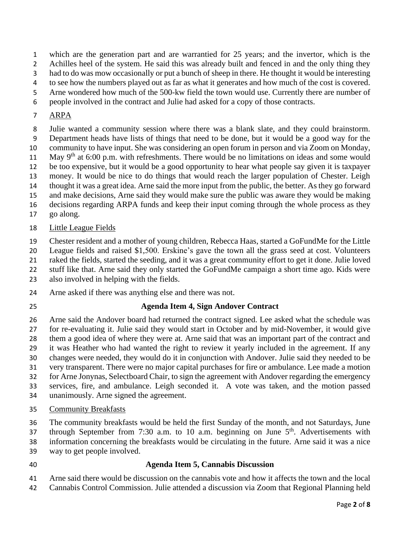which are the generation part and are warrantied for 25 years; and the invertor, which is the

Achilles heel of the system. He said this was already built and fenced in and the only thing they

had to do was mow occasionally or put a bunch of sheep in there. He thought it would be interesting

to see how the numbers played out as far as what it generates and how much of the cost is covered.

Arne wondered how much of the 500-kw field the town would use. Currently there are number of

people involved in the contract and Julie had asked for a copy of those contracts.

## ARPA

 Julie wanted a community session where there was a blank slate, and they could brainstorm. Department heads have lists of things that need to be done, but it would be a good way for the

community to have input. She was considering an open forum in person and via Zoom on Monday,

11 May 9<sup>th</sup> at 6:00 p.m. with refreshments. There would be no limitations on ideas and some would

be too expensive, but it would be a good opportunity to hear what people say given it is taxpayer

 money. It would be nice to do things that would reach the larger population of Chester. Leigh thought it was a great idea. Arne said the more input from the public, the better. As they go forward

and make decisions, Arne said they would make sure the public was aware they would be making

decisions regarding ARPA funds and keep their input coming through the whole process as they

go along.

## Little League Fields

Chester resident and a mother of young children, Rebecca Haas, started a GoFundMe for the Little

League fields and raised \$1,500. Erskine's gave the town all the grass seed at cost. Volunteers

raked the fields, started the seeding, and it was a great community effort to get it done. Julie loved

stuff like that. Arne said they only started the GoFundMe campaign a short time ago. Kids were

also involved in helping with the fields.

- Arne asked if there was anything else and there was not.
- 

# **Agenda Item 4, Sign Andover Contract**

 Arne said the Andover board had returned the contract signed. Lee asked what the schedule was for re-evaluating it. Julie said they would start in October and by mid-November, it would give

them a good idea of where they were at. Arne said that was an important part of the contract and

- it was Heather who had wanted the right to review it yearly included in the agreement. If any
- changes were needed, they would do it in conjunction with Andover. Julie said they needed to be
- very transparent. There were no major capital purchases for fire or ambulance. Lee made a motion
- for Arne Jonynas, Selectboard Chair, to sign the agreement with Andover regarding the emergency
- services, fire, and ambulance. Leigh seconded it. A vote was taken, and the motion passed
- unanimously. Arne signed the agreement.
- Community Breakfasts

The community breakfasts would be held the first Sunday of the month, and not Saturdays, June

37 through September from 7:30 a.m. to 10 a.m. beginning on June  $5<sup>th</sup>$ . Advertisements with information concerning the breakfasts would be circulating in the future. Arne said it was a nice

- way to get people involved.
- 
- 

### **Agenda Item 5, Cannabis Discussion**

Arne said there would be discussion on the cannabis vote and how it affects the town and the local

Cannabis Control Commission. Julie attended a discussion via Zoom that Regional Planning held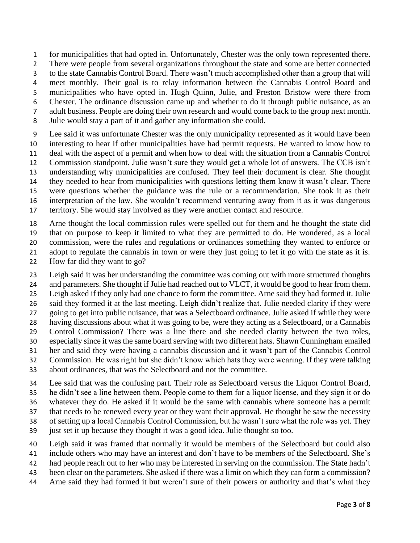for municipalities that had opted in. Unfortunately, Chester was the only town represented there.

2 There were people from several organizations throughout the state and some are better connected

to the state Cannabis Control Board. There wasn't much accomplished other than a group that will

meet monthly. Their goal is to relay information between the Cannabis Control Board and

municipalities who have opted in. Hugh Quinn, Julie, and Preston Bristow were there from

Chester. The ordinance discussion came up and whether to do it through public nuisance, as an

adult business. People are doing their own research and would come back to the group next month.

Julie would stay a part of it and gather any information she could.

 Lee said it was unfortunate Chester was the only municipality represented as it would have been interesting to hear if other municipalities have had permit requests. He wanted to know how to

deal with the aspect of a permit and when how to deal with the situation from a Cannabis Control

Commission standpoint. Julie wasn't sure they would get a whole lot of answers. The CCB isn't

understanding why municipalities are confused. They feel their document is clear. She thought

they needed to hear from municipalities with questions letting them know it wasn't clear. There

 were questions whether the guidance was the rule or a recommendation. She took it as their interpretation of the law. She wouldn't recommend venturing away from it as it was dangerous

territory. She would stay involved as they were another contact and resource.

Arne thought the local commission rules were spelled out for them and he thought the state did

that on purpose to keep it limited to what they are permitted to do. He wondered, as a local

 commission, were the rules and regulations or ordinances something they wanted to enforce or 21 adopt to regulate the cannabis in town or were they just going to let it go with the state as it is.

How far did they want to go?

 Leigh said it was her understanding the committee was coming out with more structured thoughts 24 and parameters. She thought if Julie had reached out to VLCT, it would be good to hear from them. Leigh asked if they only had one chance to form the committee. Arne said they had formed it. Julie said they formed it at the last meeting. Leigh didn't realize that. Julie needed clarity if they were going to get into public nuisance, that was a Selectboard ordinance. Julie asked if while they were having discussions about what it was going to be, were they acting as a Selectboard, or a Cannabis Control Commission? There was a line there and she needed clarity between the two roles, especially since it was the same board serving with two different hats. Shawn Cunningham emailed her and said they were having a cannabis discussion and it wasn't part of the Cannabis Control Commission. He was right but she didn't know which hats they were wearing. If they were talking

about ordinances, that was the Selectboard and not the committee.

 Lee said that was the confusing part. Their role as Selectboard versus the Liquor Control Board, he didn't see a line between them. People come to them for a liquor license, and they sign it or do whatever they do. He asked if it would be the same with cannabis where someone has a permit

that needs to be renewed every year or they want their approval. He thought he saw the necessity

of setting up a local Cannabis Control Commission, but he wasn't sure what the role was yet. They

- just set it up because they thought it was a good idea. Julie thought so too.
- Leigh said it was framed that normally it would be members of the Selectboard but could also
- include others who may have an interest and don't have to be members of the Selectboard. She's
- had people reach out to her who may be interested in serving on the commission. The State hadn't
- been clear on the parameters. She asked if there was a limit on which they can form a commission?
- Arne said they had formed it but weren't sure of their powers or authority and that's what they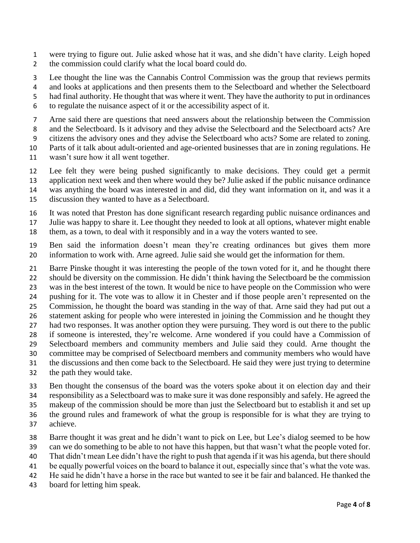- were trying to figure out. Julie asked whose hat it was, and she didn't have clarity. Leigh hoped the commission could clarify what the local board could do.
- Lee thought the line was the Cannabis Control Commission was the group that reviews permits
- and looks at applications and then presents them to the Selectboard and whether the Selectboard
- had final authority. He thought that was where it went. They have the authority to put in ordinances
- to regulate the nuisance aspect of it or the accessibility aspect of it.
- Arne said there are questions that need answers about the relationship between the Commission
- 8 and the Selectboard. Is it advisory and they advise the Selectboard and the Selectboard acts? Are
- citizens the advisory ones and they advise the Selectboard who acts? Some are related to zoning.
- Parts of it talk about adult-oriented and age-oriented businesses that are in zoning regulations. He wasn't sure how it all went together.
- Lee felt they were being pushed significantly to make decisions. They could get a permit
- application next week and then where would they be? Julie asked if the public nuisance ordinance
- was anything the board was interested in and did, did they want information on it, and was it a
- discussion they wanted to have as a Selectboard.
- It was noted that Preston has done significant research regarding public nuisance ordinances and
- Julie was happy to share it. Lee thought they needed to look at all options, whatever might enable
- them, as a town, to deal with it responsibly and in a way the voters wanted to see.
- Ben said the information doesn't mean they're creating ordinances but gives them more information to work with. Arne agreed. Julie said she would get the information for them.
- Barre Pinske thought it was interesting the people of the town voted for it, and he thought there
- should be diversity on the commission. He didn't think having the Selectboard be the commission
- was in the best interest of the town. It would be nice to have people on the Commission who were
- pushing for it. The vote was to allow it in Chester and if those people aren't represented on the Commission, he thought the board was standing in the way of that. Arne said they had put out a
- statement asking for people who were interested in joining the Commission and he thought they
- 27 had two responses. It was another option they were pursuing. They word is out there to the public
- if someone is interested, they're welcome. Arne wondered if you could have a Commission of
- Selectboard members and community members and Julie said they could. Arne thought the
- committee may be comprised of Selectboard members and community members who would have
- the discussions and then come back to the Selectboard. He said they were just trying to determine
- the path they would take.
- Ben thought the consensus of the board was the voters spoke about it on election day and their
- responsibility as a Selectboard was to make sure it was done responsibly and safely. He agreed the
- makeup of the commission should be more than just the Selectboard but to establish it and set up
- the ground rules and framework of what the group is responsible for is what they are trying to
- achieve.
- Barre thought it was great and he didn't want to pick on Lee, but Lee's dialog seemed to be how
- can we do something to be able to not have this happen, but that wasn't what the people voted for.
- That didn't mean Lee didn't have the right to push that agenda if it was his agenda, but there should
- be equally powerful voices on the board to balance it out, especially since that's what the vote was.
- He said he didn't have a horse in the race but wanted to see it be fair and balanced. He thanked the
- board for letting him speak.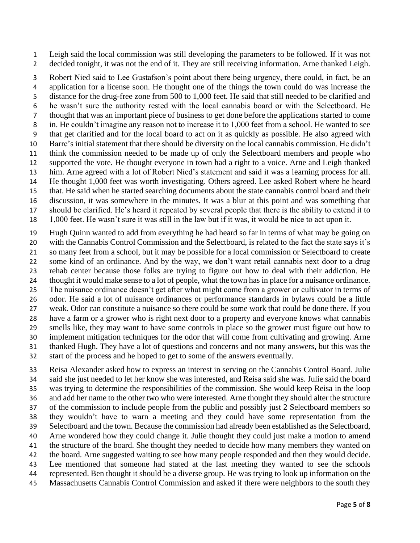Leigh said the local commission was still developing the parameters to be followed. If it was not decided tonight, it was not the end of it. They are still receiving information. Arne thanked Leigh.

 Robert Nied said to Lee Gustafson's point about there being urgency, there could, in fact, be an application for a license soon. He thought one of the things the town could do was increase the distance for the drug-free zone from 500 to 1,000 feet. He said that still needed to be clarified and he wasn't sure the authority rested with the local cannabis board or with the Selectboard. He thought that was an important piece of business to get done before the applications started to come in. He couldn't imagine any reason not to increase it to 1,000 feet from a school. He wanted to see that get clarified and for the local board to act on it as quickly as possible. He also agreed with Barre's initial statement that there should be diversity on the local cannabis commission. He didn't think the commission needed to be made up of only the Selectboard members and people who supported the vote. He thought everyone in town had a right to a voice. Arne and Leigh thanked him. Arne agreed with a lot of Robert Nied's statement and said it was a learning process for all. He thought 1,000 feet was worth investigating. Others agreed. Lee asked Robert where he heard that. He said when he started searching documents about the state cannabis control board and their discussion, it was somewhere in the minutes. It was a blur at this point and was something that should be clarified. He's heard it repeated by several people that there is the ability to extend it to

1,000 feet. He wasn't sure it was still in the law but if it was, it would be nice to act upon it.

 Hugh Quinn wanted to add from everything he had heard so far in terms of what may be going on with the Cannabis Control Commission and the Selectboard, is related to the fact the state says it's so many feet from a school, but it may be possible for a local commission or Selectboard to create some kind of an ordinance. And by the way, we don't want retail cannabis next door to a drug rehab center because those folks are trying to figure out how to deal with their addiction. He thought it would make sense to a lot of people, what the town has in place for a nuisance ordinance. The nuisance ordinance doesn't get after what might come from a grower or cultivator in terms of odor. He said a lot of nuisance ordinances or performance standards in bylaws could be a little weak. Odor can constitute a nuisance so there could be some work that could be done there. If you have a farm or a grower who is right next door to a property and everyone knows what cannabis smells like, they may want to have some controls in place so the grower must figure out how to implement mitigation techniques for the odor that will come from cultivating and growing. Arne thanked Hugh. They have a lot of questions and concerns and not many answers, but this was the start of the process and he hoped to get to some of the answers eventually.

 Reisa Alexander asked how to express an interest in serving on the Cannabis Control Board. Julie said she just needed to let her know she was interested, and Reisa said she was. Julie said the board was trying to determine the responsibilities of the commission. She would keep Reisa in the loop and add her name to the other two who were interested. Arne thought they should alter the structure of the commission to include people from the public and possibly just 2 Selectboard members so they wouldn't have to warn a meeting and they could have some representation from the Selectboard and the town. Because the commission had already been established as the Selectboard, Arne wondered how they could change it. Julie thought they could just make a motion to amend the structure of the board. She thought they needed to decide how many members they wanted on the board. Arne suggested waiting to see how many people responded and then they would decide. Lee mentioned that someone had stated at the last meeting they wanted to see the schools represented. Ben thought it should be a diverse group. He was trying to look up information on the Massachusetts Cannabis Control Commission and asked if there were neighbors to the south they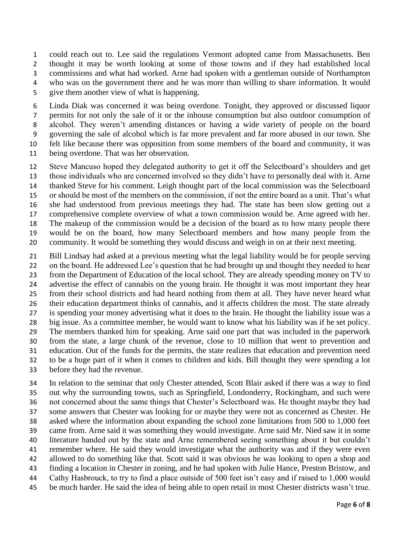could reach out to. Lee said the regulations Vermont adopted came from Massachusetts. Ben thought it may be worth looking at some of those towns and if they had established local commissions and what had worked. Arne had spoken with a gentleman outside of Northampton who was on the government there and he was more than willing to share information. It would give them another view of what is happening.

 Linda Diak was concerned it was being overdone. Tonight, they approved or discussed liquor permits for not only the sale of it or the inhouse consumption but also outdoor consumption of alcohol. They weren't amending distances or having a wide variety of people on the board governing the sale of alcohol which is far more prevalent and far more abused in our town. She felt like because there was opposition from some members of the board and community, it was

- being overdone. That was her observation.
- Steve Mancuso hoped they delegated authority to get it off the Selectboard's shoulders and get those individuals who are concerned involved so they didn't have to personally deal with it. Arne thanked Steve for his comment. Leigh thought part of the local commission was the Selectboard or should be most of the members on the commission, if not the entire board as a unit. That's what she had understood from previous meetings they had. The state has been slow getting out a comprehensive complete overview of what a town commission would be. Arne agreed with her. The makeup of the commission would be a decision of the board as to how many people there would be on the board, how many Selectboard members and how many people from the community. It would be something they would discuss and weigh in on at their next meeting.
- Bill Lindsay had asked at a previous meeting what the legal liability would be for people serving 22 on the board. He addressed Lee's question that he had brought up and thought they needed to hear from the Department of Education of the local school. They are already spending money on TV to advertise the effect of cannabis on the young brain. He thought it was most important they hear from their school districts and had heard nothing from them at all. They have never heard what their education department thinks of cannabis, and it affects children the most. The state already is spending your money advertising what it does to the brain. He thought the liability issue was a big issue. As a committee member, he would want to know what his liability was if he set policy. The members thanked him for speaking. Arne said one part that was included in the paperwork from the state, a large chunk of the revenue, close to 10 million that went to prevention and education. Out of the funds for the permits, the state realizes that education and prevention need to be a huge part of it when it comes to children and kids. Bill thought they were spending a lot before they had the revenue.

 In relation to the seminar that only Chester attended, Scott Blair asked if there was a way to find out why the surrounding towns, such as Springfield, Londonderry, Rockingham, and such were not concerned about the same things that Chester's Selectboard was. He thought maybe they had some answers that Chester was looking for or maybe they were not as concerned as Chester. He asked where the information about expanding the school zone limitations from 500 to 1,000 feet came from. Arne said it was something they would investigate. Arne said Mr. Nied saw it in some literature handed out by the state and Arne remembered seeing something about it but couldn't remember where. He said they would investigate what the authority was and if they were even allowed to do something like that. Scott said it was obvious he was looking to open a shop and finding a location in Chester in zoning, and he had spoken with Julie Hance, Preston Bristow, and Cathy Hasbrouck, to try to find a place outside of 500 feet isn't easy and if raised to 1,000 would be much harder. He said the idea of being able to open retail in most Chester districts wasn't true.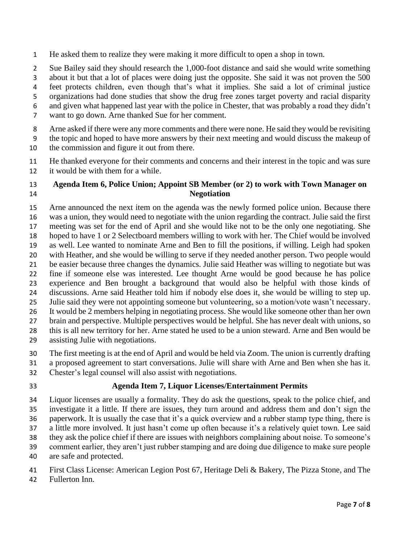He asked them to realize they were making it more difficult to open a shop in town.

Sue Bailey said they should research the 1,000-foot distance and said she would write something

about it but that a lot of places were doing just the opposite. She said it was not proven the 500

feet protects children, even though that's what it implies. She said a lot of criminal justice

organizations had done studies that show the drug free zones target poverty and racial disparity

and given what happened last year with the police in Chester, that was probably a road they didn't

want to go down. Arne thanked Sue for her comment.

8 Arne asked if there were any more comments and there were none. He said they would be revisiting

the topic and hoped to have more answers by their next meeting and would discuss the makeup of

the commission and figure it out from there.

 He thanked everyone for their comments and concerns and their interest in the topic and was sure it would be with them for a while.

#### **Agenda Item 6, Police Union; Appoint SB Member (or 2) to work with Town Manager on Negotiation**

 Arne announced the next item on the agenda was the newly formed police union. Because there was a union, they would need to negotiate with the union regarding the contract. Julie said the first meeting was set for the end of April and she would like not to be the only one negotiating. She hoped to have 1 or 2 Selectboard members willing to work with her. The Chief would be involved as well. Lee wanted to nominate Arne and Ben to fill the positions, if willing. Leigh had spoken with Heather, and she would be willing to serve if they needed another person. Two people would be easier because three changes the dynamics. Julie said Heather was willing to negotiate but was fine if someone else was interested. Lee thought Arne would be good because he has police experience and Ben brought a background that would also be helpful with those kinds of discussions. Arne said Heather told him if nobody else does it, she would be willing to step up. Julie said they were not appointing someone but volunteering, so a motion/vote wasn't necessary. It would be 2 members helping in negotiating process. She would like someone other than her own brain and perspective. Multiple perspectives would be helpful. She has never dealt with unions, so this is all new territory for her. Arne stated he used to be a union steward. Arne and Ben would be assisting Julie with negotiations.

The first meeting is at the end of April and would be held via Zoom. The union is currently drafting

a proposed agreement to start conversations. Julie will share with Arne and Ben when she has it.

Chester's legal counsel will also assist with negotiations.

### **Agenda Item 7, Liquor Licenses/Entertainment Permits**

 Liquor licenses are usually a formality. They do ask the questions, speak to the police chief, and investigate it a little. If there are issues, they turn around and address them and don't sign the paperwork. It is usually the case that it's a quick overview and a rubber stamp type thing, there is a little more involved. It just hasn't come up often because it's a relatively quiet town. Lee said they ask the police chief if there are issues with neighbors complaining about noise. To someone's comment earlier, they aren't just rubber stamping and are doing due diligence to make sure people

are safe and protected.

First Class License: American Legion Post 67, Heritage Deli & Bakery, The Pizza Stone, and The

Fullerton Inn.